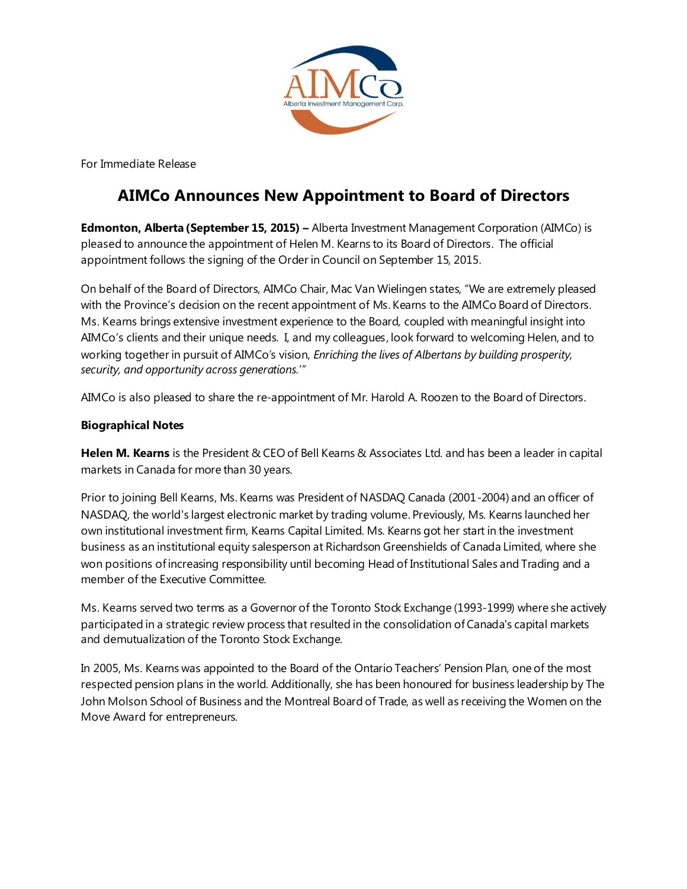

For Immediate Release

## **AIMCo Announces New Appointment to Board of Directors**

**Edmonton, Alberta (September 15, 2015) –** Alberta Investment Management Corporation (AIMCo) is pleased to announce the appointment of Helen M. Kearns to its Board of Directors. The official appointment follows the signing of the Order in Council on September 15, 2015.

On behalf of the Board of Directors, AIMCo Chair, Mac Van Wielingen states, "We are extremely pleased with the Province's decision on the recent appointment of Ms. Kearns to the AIMCo Board of Directors. Ms. Kearns brings extensive investment experience to the Board, coupled with meaningful insight into AIMCo's clients and their unique needs. I, and my colleagues, look forward to welcoming Helen, and to working together in pursuit of AIMCo's vision, *Enriching the lives of Albertans by building prosperity, security, and opportunity across generations.*'"

AIMCo is also pleased to share the re-appointment of Mr. Harold A. Roozen to the Board of Directors.

## **Biographical Notes**

**Helen M. Kearns** is the President & CEO of Bell Kearns & Associates Ltd. and has been a leader in capital markets in Canada for more than 30 years.

Prior to joining Bell Kearns, Ms. Kearns was President of NASDAQ Canada (2001-2004) and an officer of NASDAQ, the world's largest electronic market by trading volume. Previously, Ms. Kearns launched her own institutional investment firm, Kearns Capital Limited. Ms. Kearns got her start in the investment business as an institutional equity salesperson at Richardson Greenshields of Canada Limited, where she won positions of increasing responsibility until becoming Head of Institutional Sales and Trading and a member of the Executive Committee.

Ms. Kearns served two terms as a Governor of the Toronto Stock Exchange (1993-1999) where she actively participated in a strategic review process that resulted in the consolidation of Canada's capital markets and demutualization of the Toronto Stock Exchange.

In 2005, Ms. Kearns was appointed to the Board of the Ontario Teachers' Pension Plan, one of the most respected pension plans in the world. Additionally, she has been honoured for business leadership by The John Molson School of Business and the Montreal Board of Trade, as well as receiving the Women on the Move Award for entrepreneurs.